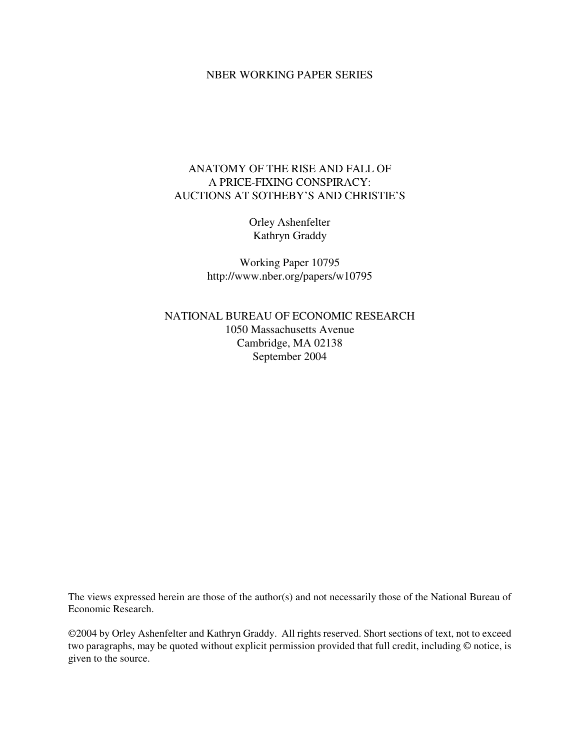## NBER WORKING PAPER SERIES

# ANATOMY OF THE RISE AND FALL OF A PRICE-FIXING CONSPIRACY: AUCTIONS AT SOTHEBY'S AND CHRISTIE'S

Orley Ashenfelter Kathryn Graddy

Working Paper 10795 http://www.nber.org/papers/w10795

NATIONAL BUREAU OF ECONOMIC RESEARCH 1050 Massachusetts Avenue Cambridge, MA 02138 September 2004

The views expressed herein are those of the author(s) and not necessarily those of the National Bureau of Economic Research.

©2004 by Orley Ashenfelter and Kathryn Graddy. All rights reserved. Short sections of text, not to exceed two paragraphs, may be quoted without explicit permission provided that full credit, including © notice, is given to the source.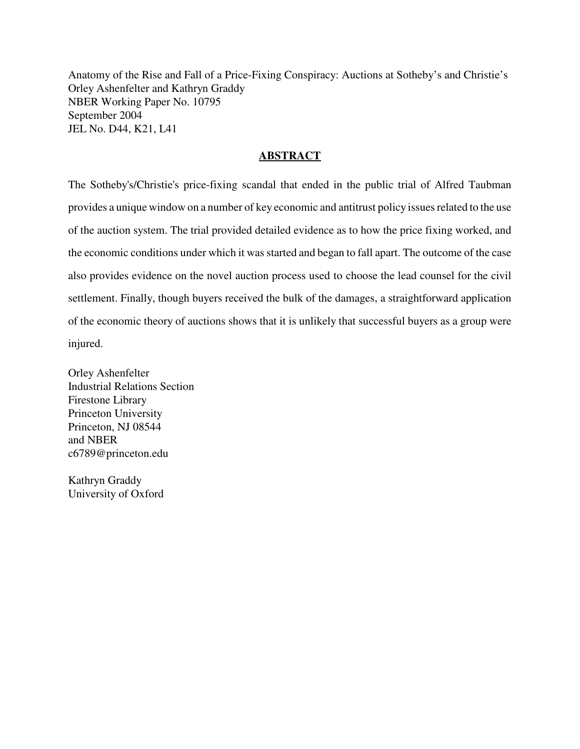Anatomy of the Rise and Fall of a Price-Fixing Conspiracy: Auctions at Sotheby's and Christie's Orley Ashenfelter and Kathryn Graddy NBER Working Paper No. 10795 September 2004 JEL No. D44, K21, L41

## **ABSTRACT**

The Sotheby's/Christie's price-fixing scandal that ended in the public trial of Alfred Taubman provides a unique window on a number of key economic and antitrust policy issues related to the use of the auction system. The trial provided detailed evidence as to how the price fixing worked, and the economic conditions under which it was started and began to fall apart. The outcome of the case also provides evidence on the novel auction process used to choose the lead counsel for the civil settlement. Finally, though buyers received the bulk of the damages, a straightforward application of the economic theory of auctions shows that it is unlikely that successful buyers as a group were injured.

Orley Ashenfelter Industrial Relations Section Firestone Library Princeton University Princeton, NJ 08544 and NBER c6789@princeton.edu

Kathryn Graddy University of Oxford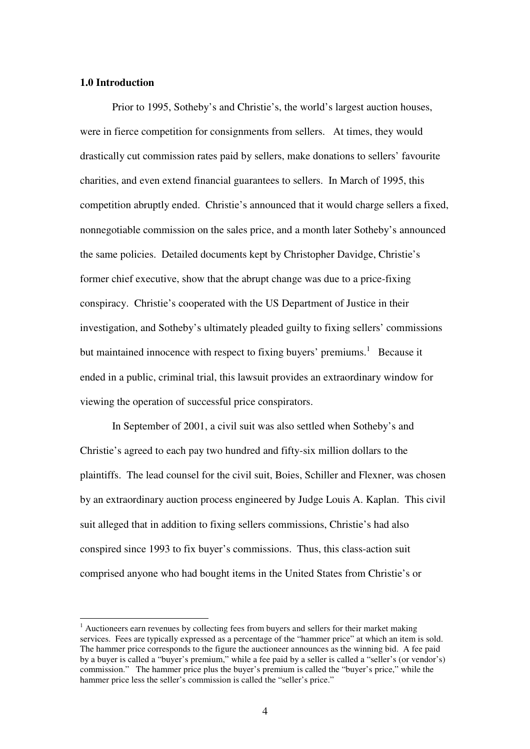## **1.0 Introduction**

Prior to 1995, Sotheby's and Christie's, the world's largest auction houses, were in fierce competition for consignments from sellers. At times, they would drastically cut commission rates paid by sellers, make donations to sellers' favourite charities, and even extend financial guarantees to sellers. In March of 1995, this competition abruptly ended. Christie's announced that it would charge sellers a fixed, nonnegotiable commission on the sales price, and a month later Sotheby's announced the same policies. Detailed documents kept by Christopher Davidge, Christie's former chief executive, show that the abrupt change was due to a price-fixing conspiracy. Christie's cooperated with the US Department of Justice in their investigation, and Sotheby's ultimately pleaded guilty to fixing sellers' commissions but maintained innocence with respect to fixing buyers' premiums.<sup>1</sup> Because it ended in a public, criminal trial, this lawsuit provides an extraordinary window for viewing the operation of successful price conspirators.

In September of 2001, a civil suit was also settled when Sotheby's and Christie's agreed to each pay two hundred and fifty-six million dollars to the plaintiffs. The lead counsel for the civil suit, Boies, Schiller and Flexner, was chosen by an extraordinary auction process engineered by Judge Louis A. Kaplan. This civil suit alleged that in addition to fixing sellers commissions, Christie's had also conspired since 1993 to fix buyer's commissions. Thus, this class-action suit comprised anyone who had bought items in the United States from Christie's or

 $<sup>1</sup>$  Auctioneers earn revenues by collecting fees from buyers and sellers for their market making</sup> services. Fees are typically expressed as a percentage of the "hammer price" at which an item is sold. The hammer price corresponds to the figure the auctioneer announces as the winning bid. A fee paid by a buyer is called a "buyer's premium," while a fee paid by a seller is called a "seller's (or vendor's) commission." The hammer price plus the buyer's premium is called the "buyer's price," while the hammer price less the seller's commission is called the "seller's price."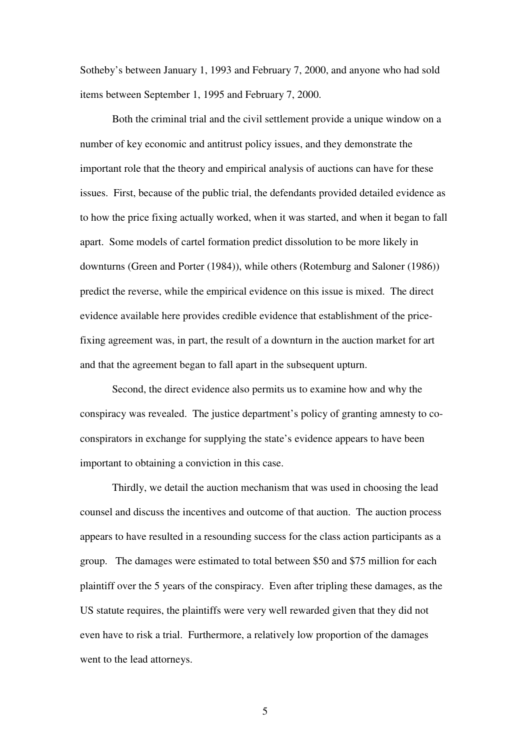Sotheby's between January 1, 1993 and February 7, 2000, and anyone who had sold items between September 1, 1995 and February 7, 2000.

Both the criminal trial and the civil settlement provide a unique window on a number of key economic and antitrust policy issues, and they demonstrate the important role that the theory and empirical analysis of auctions can have for these issues. First, because of the public trial, the defendants provided detailed evidence as to how the price fixing actually worked, when it was started, and when it began to fall apart. Some models of cartel formation predict dissolution to be more likely in downturns (Green and Porter (1984)), while others (Rotemburg and Saloner (1986)) predict the reverse, while the empirical evidence on this issue is mixed. The direct evidence available here provides credible evidence that establishment of the pricefixing agreement was, in part, the result of a downturn in the auction market for art and that the agreement began to fall apart in the subsequent upturn.

Second, the direct evidence also permits us to examine how and why the conspiracy was revealed. The justice department's policy of granting amnesty to coconspirators in exchange for supplying the state's evidence appears to have been important to obtaining a conviction in this case.

Thirdly, we detail the auction mechanism that was used in choosing the lead counsel and discuss the incentives and outcome of that auction. The auction process appears to have resulted in a resounding success for the class action participants as a group. The damages were estimated to total between \$50 and \$75 million for each plaintiff over the 5 years of the conspiracy. Even after tripling these damages, as the US statute requires, the plaintiffs were very well rewarded given that they did not even have to risk a trial. Furthermore, a relatively low proportion of the damages went to the lead attorneys.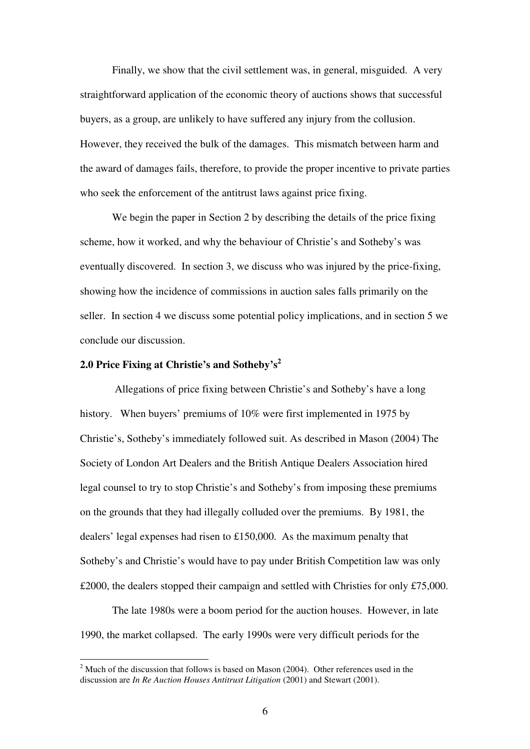Finally, we show that the civil settlement was, in general, misguided. A very straightforward application of the economic theory of auctions shows that successful buyers, as a group, are unlikely to have suffered any injury from the collusion. However, they received the bulk of the damages. This mismatch between harm and the award of damages fails, therefore, to provide the proper incentive to private parties who seek the enforcement of the antitrust laws against price fixing.

We begin the paper in Section 2 by describing the details of the price fixing scheme, how it worked, and why the behaviour of Christie's and Sotheby's was eventually discovered. In section 3, we discuss who was injured by the price-fixing, showing how the incidence of commissions in auction sales falls primarily on the seller. In section 4 we discuss some potential policy implications, and in section 5 we conclude our discussion.

# **2.0 Price Fixing at Christie's and Sotheby's 2**

Allegations of price fixing between Christie's and Sotheby's have a long history. When buyers' premiums of 10% were first implemented in 1975 by Christie's, Sotheby's immediately followed suit. As described in Mason (2004) The Society of London Art Dealers and the British Antique Dealers Association hired legal counsel to try to stop Christie's and Sotheby's from imposing these premiums on the grounds that they had illegally colluded over the premiums. By 1981, the dealers' legal expenses had risen to £150,000. As the maximum penalty that Sotheby's and Christie's would have to pay under British Competition law was only £2000, the dealers stopped their campaign and settled with Christies for only £75,000.

The late 1980s were a boom period for the auction houses. However, in late 1990, the market collapsed. The early 1990s were very difficult periods for the

 $^{2}$  Much of the discussion that follows is based on Mason (2004). Other references used in the discussion are *In Re Auction Houses Antitrust Litigation* (2001) and Stewart (2001).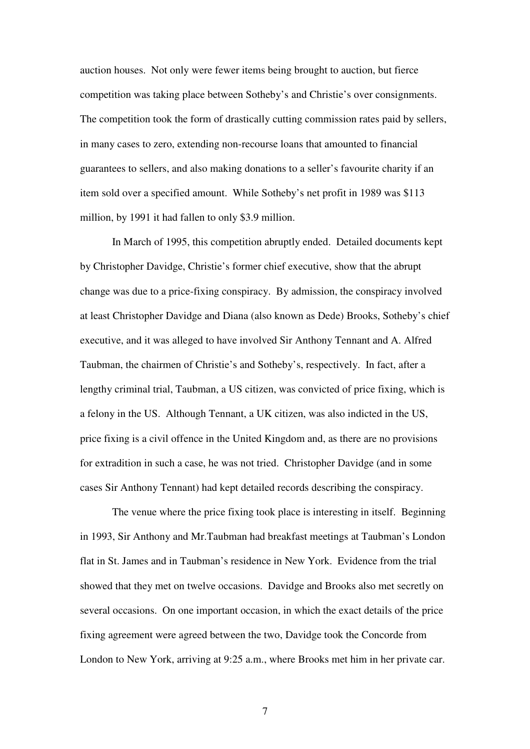auction houses. Not only were fewer items being brought to auction, but fierce competition was taking place between Sotheby's and Christie's over consignments. The competition took the form of drastically cutting commission rates paid by sellers, in many cases to zero, extending non-recourse loans that amounted to financial guarantees to sellers, and also making donations to a seller's favourite charity if an item sold over a specified amount. While Sotheby's net profit in 1989 was \$113 million, by 1991 it had fallen to only \$3.9 million.

In March of 1995, this competition abruptly ended. Detailed documents kept by Christopher Davidge, Christie's former chief executive, show that the abrupt change was due to a price-fixing conspiracy. By admission, the conspiracy involved at least Christopher Davidge and Diana (also known as Dede) Brooks, Sotheby's chief executive, and it was alleged to have involved Sir Anthony Tennant and A. Alfred Taubman, the chairmen of Christie's and Sotheby's, respectively. In fact, after a lengthy criminal trial, Taubman, a US citizen, was convicted of price fixing, which is a felony in the US. Although Tennant, a UK citizen, was also indicted in the US, price fixing is a civil offence in the United Kingdom and, as there are no provisions for extradition in such a case, he was not tried. Christopher Davidge (and in some cases Sir Anthony Tennant) had kept detailed records describing the conspiracy.

The venue where the price fixing took place is interesting in itself. Beginning in 1993, Sir Anthony and Mr.Taubman had breakfast meetings at Taubman's London flat in St. James and in Taubman's residence in New York. Evidence from the trial showed that they met on twelve occasions. Davidge and Brooks also met secretly on several occasions. On one important occasion, in which the exact details of the price fixing agreement were agreed between the two, Davidge took the Concorde from London to New York, arriving at 9:25 a.m., where Brooks met him in her private car.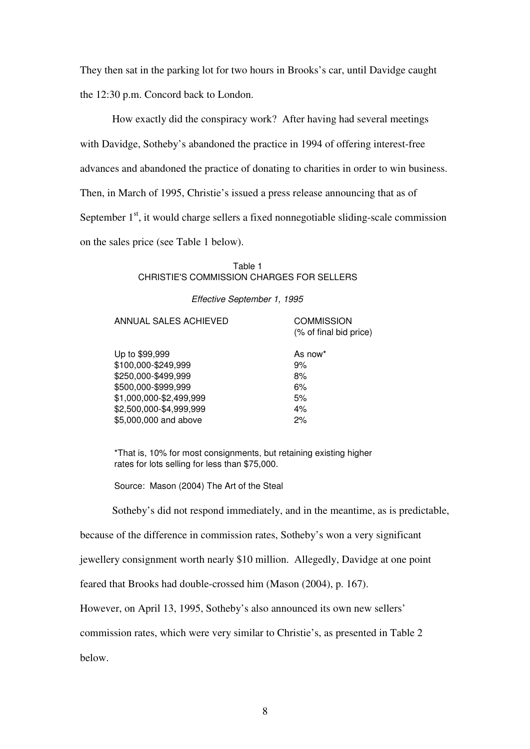They then sat in the parking lot for two hours in Brooks's car, until Davidge caught the 12:30 p.m. Concord back to London.

How exactly did the conspiracy work? After having had several meetings with Davidge, Sotheby's abandoned the practice in 1994 of offering interest-free advances and abandoned the practice of donating to charities in order to win business. Then, in March of 1995, Christie's issued a press release announcing that as of September 1<sup>st</sup>, it would charge sellers a fixed nonnegotiable sliding-scale commission on the sales price (see Table 1 below).

> Table 1 CHRISTIE'S COMMISSION CHARGES FOR SELLERS

> > *Effective September 1, 1995*

ANNUAL SALES ACHIEVED COMMISSION

(% of final bid price)

| Up to \$99,999          | As now* |
|-------------------------|---------|
| \$100,000-\$249,999     | 9%      |
| \$250,000-\$499.999     | 8%      |
| \$500,000-\$999,999     | 6%      |
| \$1,000,000-\$2,499,999 | 5%      |
| \$2,500,000-\$4,999,999 | 4%      |
| \$5,000,000 and above   | 2%      |
|                         |         |

\*That is, 10% for most consignments, but retaining existing higher rates for lots selling for less than \$75,000.

Source: Mason (2004) The Art of the Steal

Sotheby's did not respond immediately, and in the meantime, as is predictable,

because of the difference in commission rates, Sotheby's won a very significant

jewellery consignment worth nearly \$10 million. Allegedly, Davidge at one point

feared that Brooks had double-crossed him (Mason (2004), p. 167).

However, on April 13, 1995, Sotheby's also announced its own new sellers'

commission rates, which were very similar to Christie's, as presented in Table 2

below.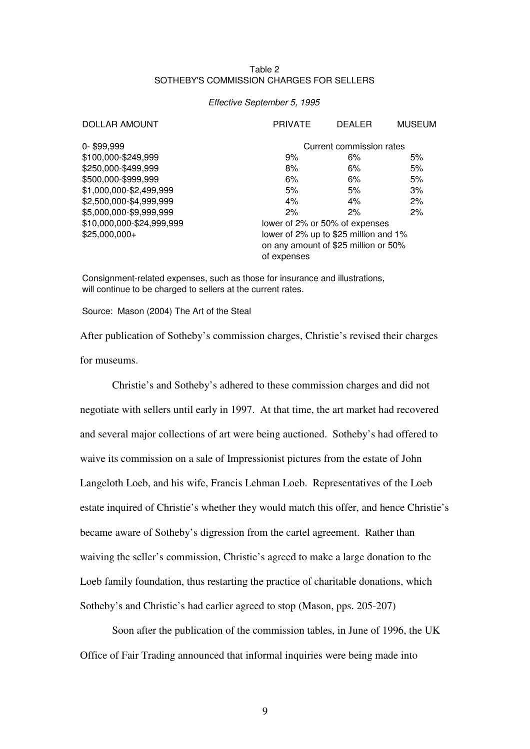## Table 2 SOTHEBY'S COMMISSION CHARGES FOR SELLERS

#### *Effective September 5, 1995*

| <b>DOLLAR AMOUNT</b>      | <b>PRIVATE</b>                        | <b>DEALER</b> | <b>MUSEUM</b> |  |
|---------------------------|---------------------------------------|---------------|---------------|--|
| 0-\$99,999                | Current commission rates              |               |               |  |
| \$100,000-\$249,999       | 9%                                    | 6%            | 5%            |  |
| \$250,000-\$499,999       | 8%                                    | 6%            | 5%            |  |
| \$500,000-\$999,999       | 6%                                    | 6%            | 5%            |  |
| \$1,000,000-\$2,499,999   | 5%                                    | 5%            | 3%            |  |
| \$2,500,000-\$4,999,999   | 4%                                    | 4%            | 2%            |  |
| \$5,000,000-\$9,999,999   | 2%                                    | 2%            | 2%            |  |
| \$10,000,000-\$24,999,999 | lower of 2% or 50% of expenses        |               |               |  |
| $$25,000,000+$            | lower of 2% up to \$25 million and 1% |               |               |  |
|                           | on any amount of \$25 million or 50%  |               |               |  |
|                           | of expenses                           |               |               |  |

Consignment-related expenses, such as those for insurance and illustrations, will continue to be charged to sellers at the current rates.

Source: Mason (2004) The Art of the Steal

After publication of Sotheby's commission charges, Christie's revised their charges for museums.

Christie's and Sotheby's adhered to these commission charges and did not negotiate with sellers until early in 1997. At that time, the art market had recovered and several major collections of art were being auctioned. Sotheby's had offered to waive its commission on a sale of Impressionist pictures from the estate of John Langeloth Loeb, and his wife, Francis Lehman Loeb. Representatives of the Loeb estate inquired of Christie's whether they would match this offer, and hence Christie's became aware of Sotheby's digression from the cartel agreement. Rather than waiving the seller's commission, Christie's agreed to make a large donation to the Loeb family foundation, thus restarting the practice of charitable donations, which Sotheby's and Christie's had earlier agreed to stop (Mason, pps. 205-207)

Soon after the publication of the commission tables, in June of 1996, the UK Office of Fair Trading announced that informal inquiries were being made into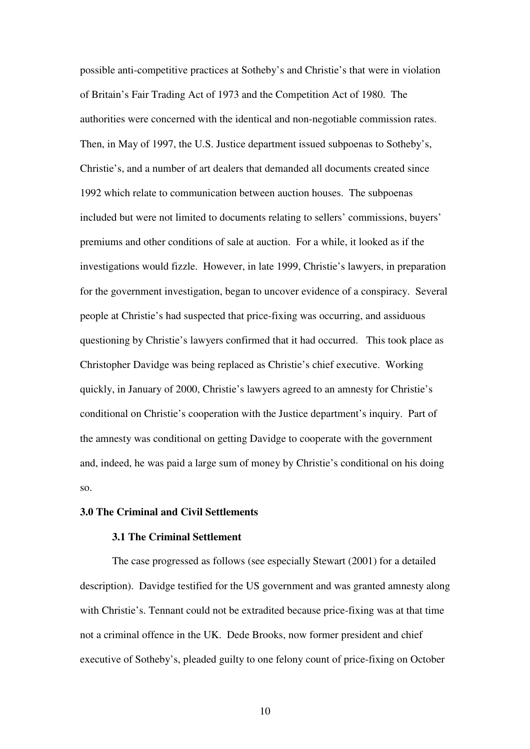possible anti-competitive practices at Sotheby's and Christie's that were in violation of Britain's Fair Trading Act of 1973 and the Competition Act of 1980. The authorities were concerned with the identical and non-negotiable commission rates. Then, in May of 1997, the U.S. Justice department issued subpoenas to Sotheby's, Christie's, and a number of art dealers that demanded all documents created since 1992 which relate to communication between auction houses. The subpoenas included but were not limited to documents relating to sellers' commissions, buyers' premiums and other conditions of sale at auction. For a while, it looked as if the investigations would fizzle. However, in late 1999, Christie's lawyers, in preparation for the government investigation, began to uncover evidence of a conspiracy. Several people at Christie's had suspected that price-fixing was occurring, and assiduous questioning by Christie's lawyers confirmed that it had occurred. This took place as Christopher Davidge was being replaced as Christie's chief executive. Working quickly, in January of 2000, Christie's lawyers agreed to an amnesty for Christie's conditional on Christie's cooperation with the Justice department's inquiry. Part of the amnesty was conditional on getting Davidge to cooperate with the government and, indeed, he was paid a large sum of money by Christie's conditional on his doing so.

## **3.0 The Criminal and Civil Settlements**

## **3.1 The Criminal Settlement**

The case progressed as follows (see especially Stewart (2001) for a detailed description). Davidge testified for the US government and was granted amnesty along with Christie's. Tennant could not be extradited because price-fixing was at that time not a criminal offence in the UK. Dede Brooks, now former president and chief executive of Sotheby's, pleaded guilty to one felony count of price-fixing on October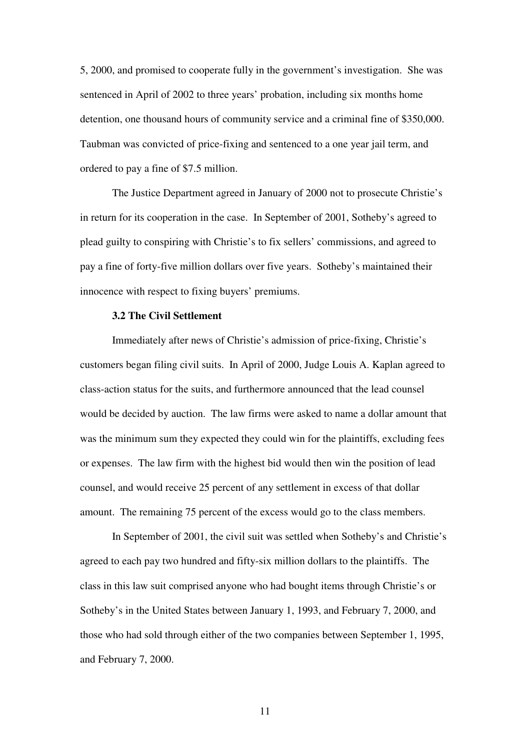5, 2000, and promised to cooperate fully in the government's investigation. She was sentenced in April of 2002 to three years' probation, including six months home detention, one thousand hours of community service and a criminal fine of \$350,000. Taubman was convicted of price-fixing and sentenced to a one year jail term, and ordered to pay a fine of \$7.5 million.

The Justice Department agreed in January of 2000 not to prosecute Christie's in return for its cooperation in the case. In September of 2001, Sotheby's agreed to plead guilty to conspiring with Christie's to fix sellers' commissions, and agreed to pay a fine of forty-five million dollars over five years. Sotheby's maintained their innocence with respect to fixing buyers' premiums.

## **3.2 The Civil Settlement**

Immediately after news of Christie's admission of price-fixing, Christie's customers began filing civil suits. In April of 2000, Judge Louis A. Kaplan agreed to class-action status for the suits, and furthermore announced that the lead counsel would be decided by auction. The law firms were asked to name a dollar amount that was the minimum sum they expected they could win for the plaintiffs, excluding fees or expenses. The law firm with the highest bid would then win the position of lead counsel, and would receive 25 percent of any settlement in excess of that dollar amount. The remaining 75 percent of the excess would go to the class members.

In September of 2001, the civil suit was settled when Sotheby's and Christie's agreed to each pay two hundred and fifty-six million dollars to the plaintiffs. The class in this law suit comprised anyone who had bought items through Christie's or Sotheby's in the United States between January 1, 1993, and February 7, 2000, and those who had sold through either of the two companies between September 1, 1995, and February 7, 2000.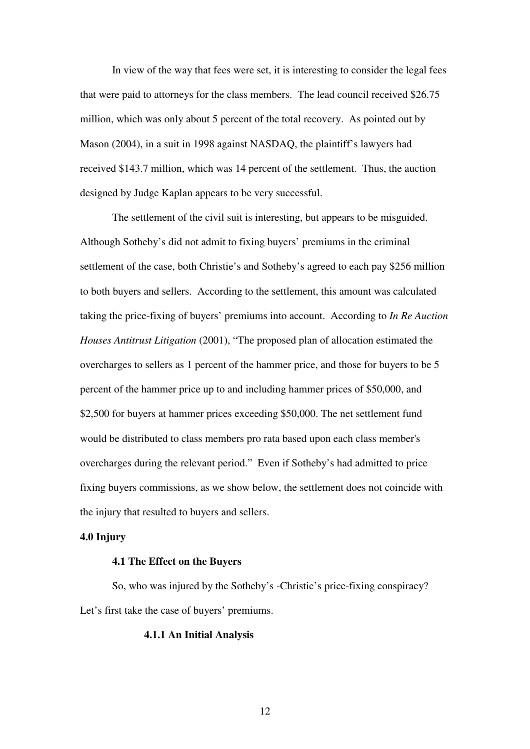In view of the way that fees were set, it is interesting to consider the legal fees that were paid to attorneys for the class members. The lead council received \$26.75 million, which was only about 5 percent of the total recovery. As pointed out by Mason (2004), in a suit in 1998 against NASDAQ, the plaintiff's lawyers had received \$143.7 million, which was 14 percent of the settlement. Thus, the auction designed by Judge Kaplan appears to be very successful.

The settlement of the civil suit is interesting, but appears to be misguided. Although Sotheby's did not admit to fixing buyers' premiums in the criminal settlement of the case, both Christie's and Sotheby's agreed to each pay \$256 million to both buyers and sellers. According to the settlement, this amount was calculated taking the price-fixing of buyers' premiums into account. According to *In Re Auction Houses Antitrust Litigation* (2001), "The proposed plan of allocation estimated the overcharges to sellers as 1 percent of the hammer price, and those for buyers to be 5 percent of the hammer price up to and including hammer prices of \$50,000, and \$2,500 for buyers at hammer prices exceeding \$50,000. The net settlement fund would be distributed to class members pro rata based upon each class member's overcharges during the relevant period." Even if Sotheby's had admitted to price fixing buyers commissions, as we show below, the settlement does not coincide with the injury that resulted to buyers and sellers.

## **4.0 Injury**

## **4.1 The Effect on the Buyers**

So, who was injured by the Sotheby's -Christie's price-fixing conspiracy? Let's first take the case of buyers' premiums.

## **4.1.1 An Initial Analysis**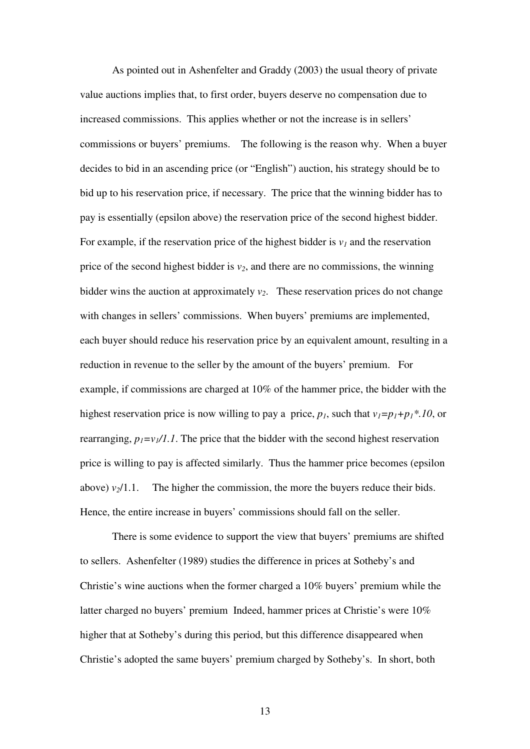As pointed out in Ashenfelter and Graddy (2003) the usual theory of private value auctions implies that, to first order, buyers deserve no compensation due to increased commissions. This applies whether or not the increase is in sellers' commissions or buyers' premiums. The following is the reason why. When a buyer decides to bid in an ascending price (or "English") auction, his strategy should be to bid up to his reservation price, if necessary. The price that the winning bidder has to pay is essentially (epsilon above) the reservation price of the second highest bidder. For example, if the reservation price of the highest bidder is  $v_l$  and the reservation price of the second highest bidder is  $v_2$ , and there are no commissions, the winning bidder wins the auction at approximately  $v_2$ . These reservation prices do not change with changes in sellers' commissions. When buyers' premiums are implemented, each buyer should reduce his reservation price by an equivalent amount, resulting in a reduction in revenue to the seller by the amount of the buyers' premium. For example, if commissions are charged at 10% of the hammer price, the bidder with the highest reservation price is now willing to pay a price,  $p_i$ , such that  $v_i = p_i + p_i * d_i$ , or rearranging,  $p_1 = v_1/1.1$ . The price that the bidder with the second highest reservation price is willing to pay is affected similarly. Thus the hammer price becomes (epsilon above)  $v_2/1.1$ . The higher the commission, the more the buyers reduce their bids. Hence, the entire increase in buyers' commissions should fall on the seller.

There is some evidence to support the view that buyers' premiums are shifted to sellers. Ashenfelter (1989) studies the difference in prices at Sotheby's and Christie's wine auctions when the former charged a 10% buyers' premium while the latter charged no buyers' premium Indeed, hammer prices at Christie's were 10% higher that at Sotheby's during this period, but this difference disappeared when Christie's adopted the same buyers' premium charged by Sotheby's. In short, both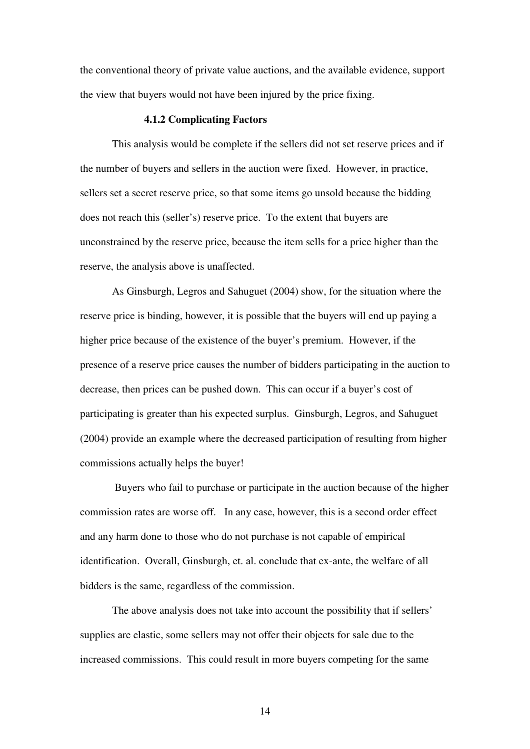the conventional theory of private value auctions, and the available evidence, support the view that buyers would not have been injured by the price fixing.

#### **4.1.2 Complicating Factors**

This analysis would be complete if the sellers did not set reserve prices and if the number of buyers and sellers in the auction were fixed. However, in practice, sellers set a secret reserve price, so that some items go unsold because the bidding does not reach this (seller's) reserve price. To the extent that buyers are unconstrained by the reserve price, because the item sells for a price higher than the reserve, the analysis above is unaffected.

As Ginsburgh, Legros and Sahuguet (2004) show, for the situation where the reserve price is binding, however, it is possible that the buyers will end up paying a higher price because of the existence of the buyer's premium. However, if the presence of a reserve price causes the number of bidders participating in the auction to decrease, then prices can be pushed down. This can occur if a buyer's cost of participating is greater than his expected surplus. Ginsburgh, Legros, and Sahuguet (2004) provide an example where the decreased participation of resulting from higher commissions actually helps the buyer!

Buyers who fail to purchase or participate in the auction because of the higher commission rates are worse off. In any case, however, this is a second order effect and any harm done to those who do not purchase is not capable of empirical identification. Overall, Ginsburgh, et. al. conclude that ex-ante, the welfare of all bidders is the same, regardless of the commission.

The above analysis does not take into account the possibility that if sellers' supplies are elastic, some sellers may not offer their objects for sale due to the increased commissions. This could result in more buyers competing for the same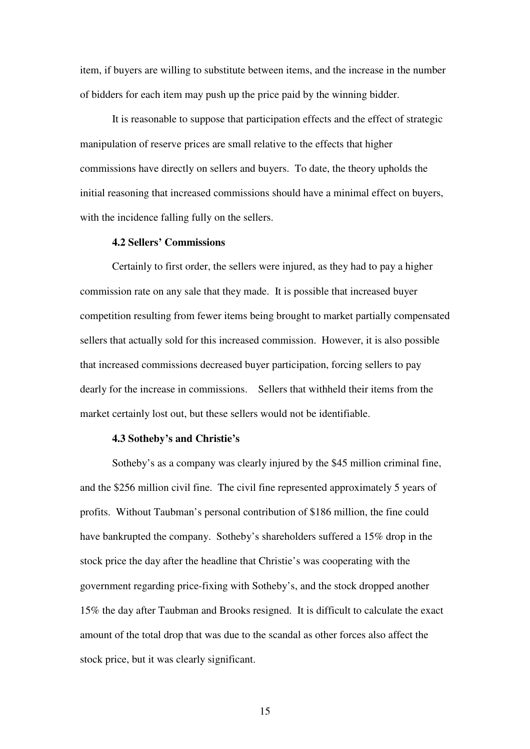item, if buyers are willing to substitute between items, and the increase in the number of bidders for each item may push up the price paid by the winning bidder.

It is reasonable to suppose that participation effects and the effect of strategic manipulation of reserve prices are small relative to the effects that higher commissions have directly on sellers and buyers. To date, the theory upholds the initial reasoning that increased commissions should have a minimal effect on buyers, with the incidence falling fully on the sellers.

## **4.2 Sellers' Commissions**

Certainly to first order, the sellers were injured, as they had to pay a higher commission rate on any sale that they made. It is possible that increased buyer competition resulting from fewer items being brought to market partially compensated sellers that actually sold for this increased commission. However, it is also possible that increased commissions decreased buyer participation, forcing sellers to pay dearly for the increase in commissions. Sellers that withheld their items from the market certainly lost out, but these sellers would not be identifiable.

## **4.3 Sotheby's and Christie's**

Sotheby's as a company was clearly injured by the \$45 million criminal fine, and the \$256 million civil fine. The civil fine represented approximately 5 years of profits. Without Taubman's personal contribution of \$186 million, the fine could have bankrupted the company. Sotheby's shareholders suffered a 15% drop in the stock price the day after the headline that Christie's was cooperating with the government regarding price-fixing with Sotheby's, and the stock dropped another 15% the day after Taubman and Brooks resigned. It is difficult to calculate the exact amount of the total drop that was due to the scandal as other forces also affect the stock price, but it was clearly significant.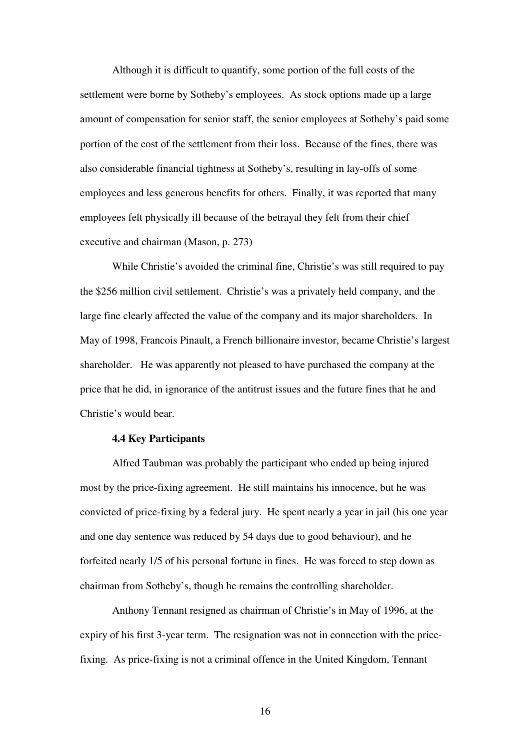Although it is difficult to quantify, some portion of the full costs of the settlement were borne by Sotheby's employees. As stock options made up a large amount of compensation for senior staff, the senior employees at Sotheby's paid some portion of the cost of the settlement from their loss. Because of the fines, there was also considerable financial tightness at Sotheby's, resulting in lay-offs of some employees and less generous benefits for others. Finally, it was reported that many employees felt physically ill because of the betrayal they felt from their chief executive and chairman (Mason, p. 273)

While Christie's avoided the criminal fine, Christie's was still required to pay the \$256 million civil settlement. Christie's was a privately held company, and the large fine clearly affected the value of the company and its major shareholders. In May of 1998, Francois Pinault, a French billionaire investor, became Christie's largest shareholder. He was apparently not pleased to have purchased the company at the price that he did, in ignorance of the antitrust issues and the future fines that he and Christie's would bear.

## **4.4 Key Participants**

Alfred Taubman was probably the participant who ended up being injured most by the price-fixing agreement. He still maintains his innocence, but he was convicted of price-fixing by a federal jury. He spent nearly a year in jail (his one year and one day sentence was reduced by 54 days due to good behaviour), and he forfeited nearly 1/5 of his personal fortune in fines. He was forced to step down as chairman from Sotheby's, though he remains the controlling shareholder.

Anthony Tennant resigned as chairman of Christie's in May of 1996, at the expiry of his first 3-year term. The resignation was not in connection with the pricefixing. As price-fixing is not a criminal offence in the United Kingdom, Tennant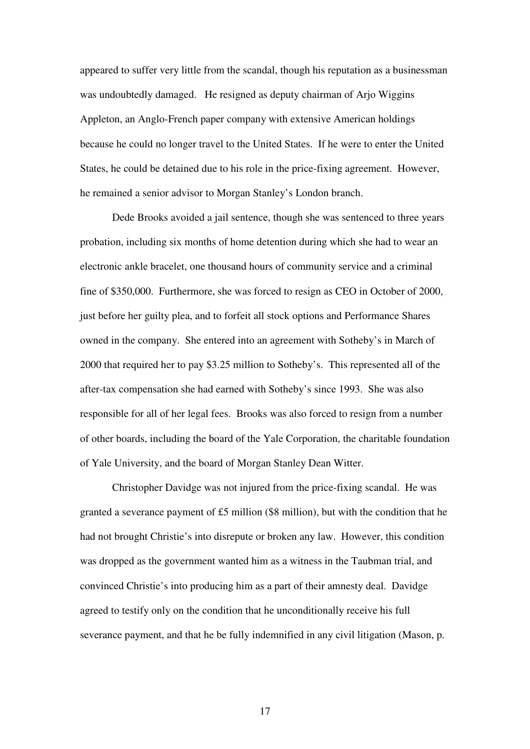appeared to suffer very little from the scandal, though his reputation as a businessman was undoubtedly damaged. He resigned as deputy chairman of Arjo Wiggins Appleton, an Anglo-French paper company with extensive American holdings because he could no longer travel to the United States. If he were to enter the United States, he could be detained due to his role in the price-fixing agreement. However, he remained a senior advisor to Morgan Stanley's London branch.

Dede Brooks avoided a jail sentence, though she was sentenced to three years probation, including six months of home detention during which she had to wear an electronic ankle bracelet, one thousand hours of community service and a criminal fine of \$350,000. Furthermore, she was forced to resign as CEO in October of 2000, just before her guilty plea, and to forfeit all stock options and Performance Shares owned in the company. She entered into an agreement with Sotheby's in March of 2000 that required her to pay \$3.25 million to Sotheby's. This represented all of the after-tax compensation she had earned with Sotheby's since 1993. She was also responsible for all of her legal fees. Brooks was also forced to resign from a number of other boards, including the board of the Yale Corporation, the charitable foundation of Yale University, and the board of Morgan Stanley Dean Witter.

Christopher Davidge was not injured from the price-fixing scandal. He was granted a severance payment of £5 million (\$8 million), but with the condition that he had not brought Christie's into disrepute or broken any law. However, this condition was dropped as the government wanted him as a witness in the Taubman trial, and convinced Christie's into producing him as a part of their amnesty deal. Davidge agreed to testify only on the condition that he unconditionally receive his full severance payment, and that he be fully indemnified in any civil litigation (Mason, p.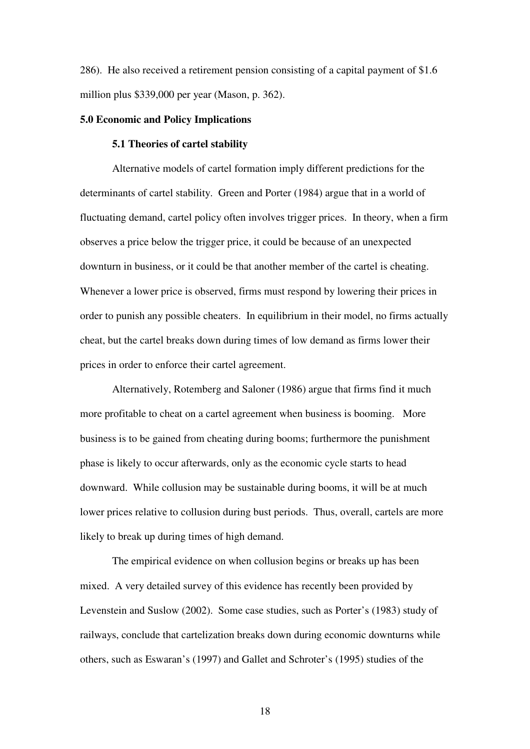286). He also received a retirement pension consisting of a capital payment of \$1.6 million plus \$339,000 per year (Mason, p. 362).

### **5.0 Economic and Policy Implications**

## **5.1 Theories of cartel stability**

Alternative models of cartel formation imply different predictions for the determinants of cartel stability. Green and Porter (1984) argue that in a world of fluctuating demand, cartel policy often involves trigger prices. In theory, when a firm observes a price below the trigger price, it could be because of an unexpected downturn in business, or it could be that another member of the cartel is cheating. Whenever a lower price is observed, firms must respond by lowering their prices in order to punish any possible cheaters. In equilibrium in their model, no firms actually cheat, but the cartel breaks down during times of low demand as firms lower their prices in order to enforce their cartel agreement.

Alternatively, Rotemberg and Saloner (1986) argue that firms find it much more profitable to cheat on a cartel agreement when business is booming. More business is to be gained from cheating during booms; furthermore the punishment phase is likely to occur afterwards, only as the economic cycle starts to head downward. While collusion may be sustainable during booms, it will be at much lower prices relative to collusion during bust periods. Thus, overall, cartels are more likely to break up during times of high demand.

The empirical evidence on when collusion begins or breaks up has been mixed. A very detailed survey of this evidence has recently been provided by Levenstein and Suslow (2002). Some case studies, such as Porter's (1983) study of railways, conclude that cartelization breaks down during economic downturns while others, such as Eswaran's (1997) and Gallet and Schroter's (1995) studies of the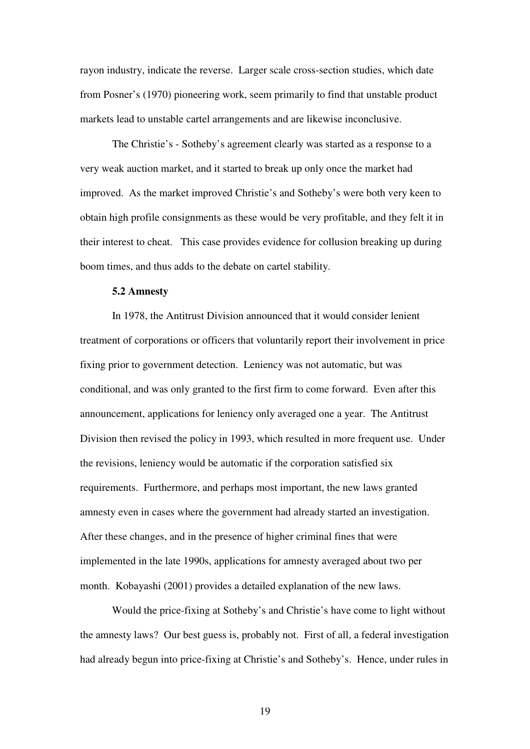rayon industry, indicate the reverse. Larger scale cross-section studies, which date from Posner's (1970) pioneering work, seem primarily to find that unstable product markets lead to unstable cartel arrangements and are likewise inconclusive.

The Christie's - Sotheby's agreement clearly was started as a response to a very weak auction market, and it started to break up only once the market had improved. As the market improved Christie's and Sotheby's were both very keen to obtain high profile consignments as these would be very profitable, and they felt it in their interest to cheat. This case provides evidence for collusion breaking up during boom times, and thus adds to the debate on cartel stability.

## **5.2 Amnesty**

In 1978, the Antitrust Division announced that it would consider lenient treatment of corporations or officers that voluntarily report their involvement in price fixing prior to government detection. Leniency was not automatic, but was conditional, and was only granted to the first firm to come forward. Even after this announcement, applications for leniency only averaged one a year. The Antitrust Division then revised the policy in 1993, which resulted in more frequent use. Under the revisions, leniency would be automatic if the corporation satisfied six requirements. Furthermore, and perhaps most important, the new laws granted amnesty even in cases where the government had already started an investigation. After these changes, and in the presence of higher criminal fines that were implemented in the late 1990s, applications for amnesty averaged about two per month. Kobayashi (2001) provides a detailed explanation of the new laws.

Would the price-fixing at Sotheby's and Christie's have come to light without the amnesty laws? Our best guess is, probably not. First of all, a federal investigation had already begun into price-fixing at Christie's and Sotheby's. Hence, under rules in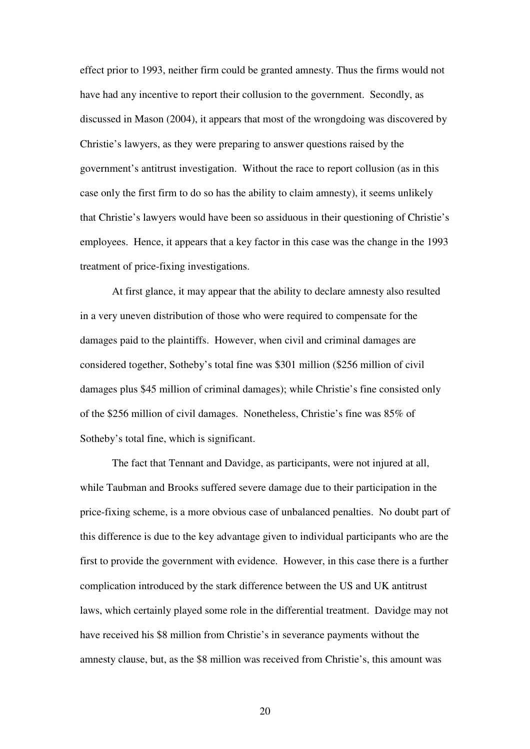effect prior to 1993, neither firm could be granted amnesty. Thus the firms would not have had any incentive to report their collusion to the government. Secondly, as discussed in Mason (2004), it appears that most of the wrongdoing was discovered by Christie's lawyers, as they were preparing to answer questions raised by the government's antitrust investigation. Without the race to report collusion (as in this case only the first firm to do so has the ability to claim amnesty), it seems unlikely that Christie's lawyers would have been so assiduous in their questioning of Christie's employees. Hence, it appears that a key factor in this case was the change in the 1993 treatment of price-fixing investigations.

At first glance, it may appear that the ability to declare amnesty also resulted in a very uneven distribution of those who were required to compensate for the damages paid to the plaintiffs. However, when civil and criminal damages are considered together, Sotheby's total fine was \$301 million (\$256 million of civil damages plus \$45 million of criminal damages); while Christie's fine consisted only of the \$256 million of civil damages. Nonetheless, Christie's fine was 85% of Sotheby's total fine, which is significant.

The fact that Tennant and Davidge, as participants, were not injured at all, while Taubman and Brooks suffered severe damage due to their participation in the price-fixing scheme, is a more obvious case of unbalanced penalties. No doubt part of this difference is due to the key advantage given to individual participants who are the first to provide the government with evidence. However, in this case there is a further complication introduced by the stark difference between the US and UK antitrust laws, which certainly played some role in the differential treatment. Davidge may not have received his \$8 million from Christie's in severance payments without the amnesty clause, but, as the \$8 million was received from Christie's, this amount was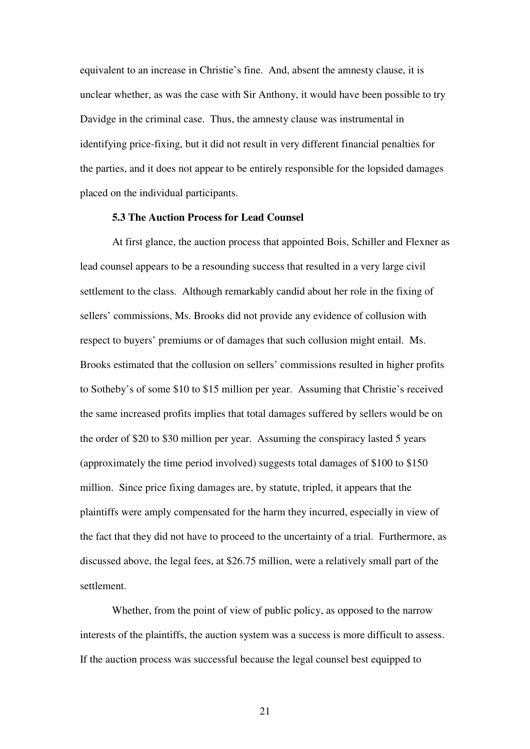equivalent to an increase in Christie's fine. And, absent the amnesty clause, it is unclear whether, as was the case with Sir Anthony, it would have been possible to try Davidge in the criminal case. Thus, the amnesty clause was instrumental in identifying price-fixing, but it did not result in very different financial penalties for the parties, and it does not appear to be entirely responsible for the lopsided damages placed on the individual participants.

### **5.3 The Auction Process for Lead Counsel**

At first glance, the auction process that appointed Bois, Schiller and Flexner as lead counsel appears to be a resounding success that resulted in a very large civil settlement to the class. Although remarkably candid about her role in the fixing of sellers' commissions, Ms. Brooks did not provide any evidence of collusion with respect to buyers' premiums or of damages that such collusion might entail. Ms. Brooks estimated that the collusion on sellers' commissions resulted in higher profits to Sotheby's of some \$10 to \$15 million per year. Assuming that Christie's received the same increased profits implies that total damages suffered by sellers would be on the order of \$20 to \$30 million per year. Assuming the conspiracy lasted 5 years (approximately the time period involved) suggests total damages of \$100 to \$150 million. Since price fixing damages are, by statute, tripled, it appears that the plaintiffs were amply compensated for the harm they incurred, especially in view of the fact that they did not have to proceed to the uncertainty of a trial. Furthermore, as discussed above, the legal fees, at \$26.75 million, were a relatively small part of the settlement.

Whether, from the point of view of public policy, as opposed to the narrow interests of the plaintiffs, the auction system was a success is more difficult to assess. If the auction process was successful because the legal counsel best equipped to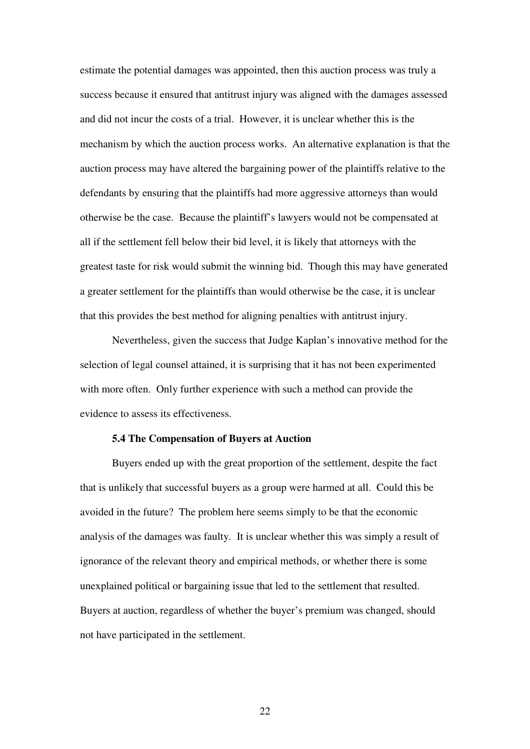estimate the potential damages was appointed, then this auction process was truly a success because it ensured that antitrust injury was aligned with the damages assessed and did not incur the costs of a trial. However, it is unclear whether this is the mechanism by which the auction process works. An alternative explanation is that the auction process may have altered the bargaining power of the plaintiffs relative to the defendants by ensuring that the plaintiffs had more aggressive attorneys than would otherwise be the case. Because the plaintiff's lawyers would not be compensated at all if the settlement fell below their bid level, it is likely that attorneys with the greatest taste for risk would submit the winning bid. Though this may have generated a greater settlement for the plaintiffs than would otherwise be the case, it is unclear that this provides the best method for aligning penalties with antitrust injury.

Nevertheless, given the success that Judge Kaplan's innovative method for the selection of legal counsel attained, it is surprising that it has not been experimented with more often. Only further experience with such a method can provide the evidence to assess its effectiveness.

## **5.4 The Compensation of Buyers at Auction**

Buyers ended up with the great proportion of the settlement, despite the fact that is unlikely that successful buyers as a group were harmed at all. Could this be avoided in the future? The problem here seems simply to be that the economic analysis of the damages was faulty. It is unclear whether this was simply a result of ignorance of the relevant theory and empirical methods, or whether there is some unexplained political or bargaining issue that led to the settlement that resulted. Buyers at auction, regardless of whether the buyer's premium was changed, should not have participated in the settlement.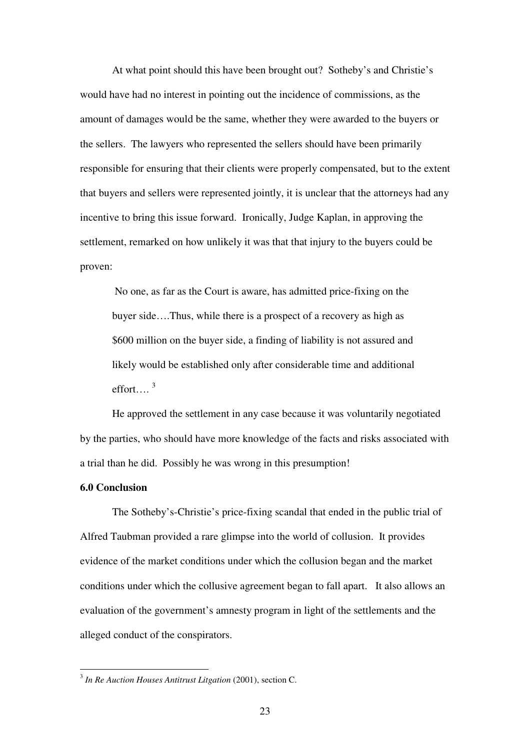At what point should this have been brought out? Sotheby's and Christie's would have had no interest in pointing out the incidence of commissions, as the amount of damages would be the same, whether they were awarded to the buyers or the sellers. The lawyers who represented the sellers should have been primarily responsible for ensuring that their clients were properly compensated, but to the extent that buyers and sellers were represented jointly, it is unclear that the attorneys had any incentive to bring this issue forward. Ironically, Judge Kaplan, in approving the settlement, remarked on how unlikely it was that that injury to the buyers could be proven:

No one, as far as the Court is aware, has admitted price-fixing on the buyer side….Thus, while there is a prospect of a recovery as high as \$600 million on the buyer side, a finding of liability is not assured and likely would be established only after considerable time and additional effort…. 3

He approved the settlement in any case because it was voluntarily negotiated by the parties, who should have more knowledge of the facts and risks associated with a trial than he did. Possibly he was wrong in this presumption!

## **6.0 Conclusion**

The Sotheby's-Christie's price-fixing scandal that ended in the public trial of Alfred Taubman provided a rare glimpse into the world of collusion. It provides evidence of the market conditions under which the collusion began and the market conditions under which the collusive agreement began to fall apart. It also allows an evaluation of the government's amnesty program in light of the settlements and the alleged conduct of the conspirators.

<sup>3</sup> *In Re Auction Houses Antitrust Litgation* (2001), section C.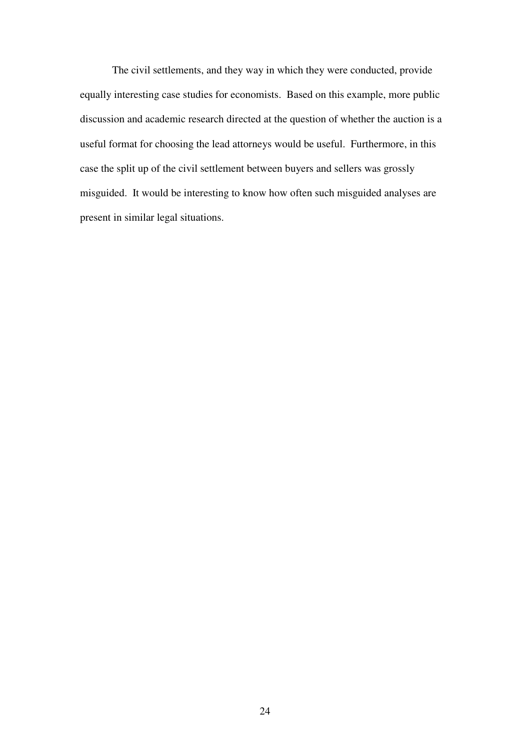The civil settlements, and they way in which they were conducted, provide equally interesting case studies for economists. Based on this example, more public discussion and academic research directed at the question of whether the auction is a useful format for choosing the lead attorneys would be useful. Furthermore, in this case the split up of the civil settlement between buyers and sellers was grossly misguided. It would be interesting to know how often such misguided analyses are present in similar legal situations.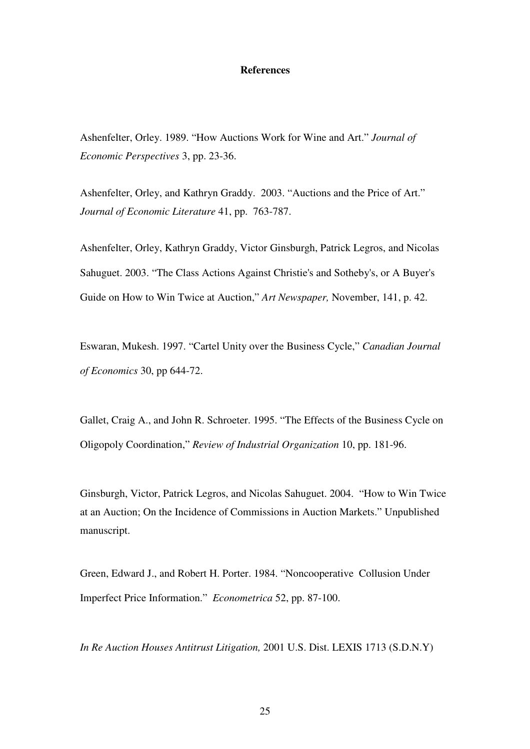## **References**

Ashenfelter, Orley. 1989. "How Auctions Work for Wine and Art." *Journal of Economic Perspectives* 3, pp. 23-36.

Ashenfelter, Orley, and Kathryn Graddy. 2003. "Auctions and the Price of Art." *Journal of Economic Literature* 41, pp. 763-787.

Ashenfelter, Orley, Kathryn Graddy, Victor Ginsburgh, Patrick Legros, and Nicolas Sahuguet. 2003. "The Class Actions Against Christie's and Sotheby's, or A Buyer's Guide on How to Win Twice at Auction," *Art Newspaper,* November, 141, p. 42.

Eswaran, Mukesh. 1997. "Cartel Unity over the Business Cycle," *Canadian Journal of Economics* 30, pp 644-72.

Gallet, Craig A., and John R. Schroeter. 1995. "The Effects of the Business Cycle on Oligopoly Coordination," *Review of Industrial Organization* 10, pp. 181-96.

Ginsburgh, Victor, Patrick Legros, and Nicolas Sahuguet. 2004. "How to Win Twice at an Auction; On the Incidence of Commissions in Auction Markets." Unpublished manuscript.

Green, Edward J., and Robert H. Porter. 1984. "Noncooperative Collusion Under Imperfect Price Information." *Econometrica* 52, pp. 87-100.

*In Re Auction Houses Antitrust Litigation,* 2001 U.S. Dist. LEXIS 1713 (S.D.N.Y)